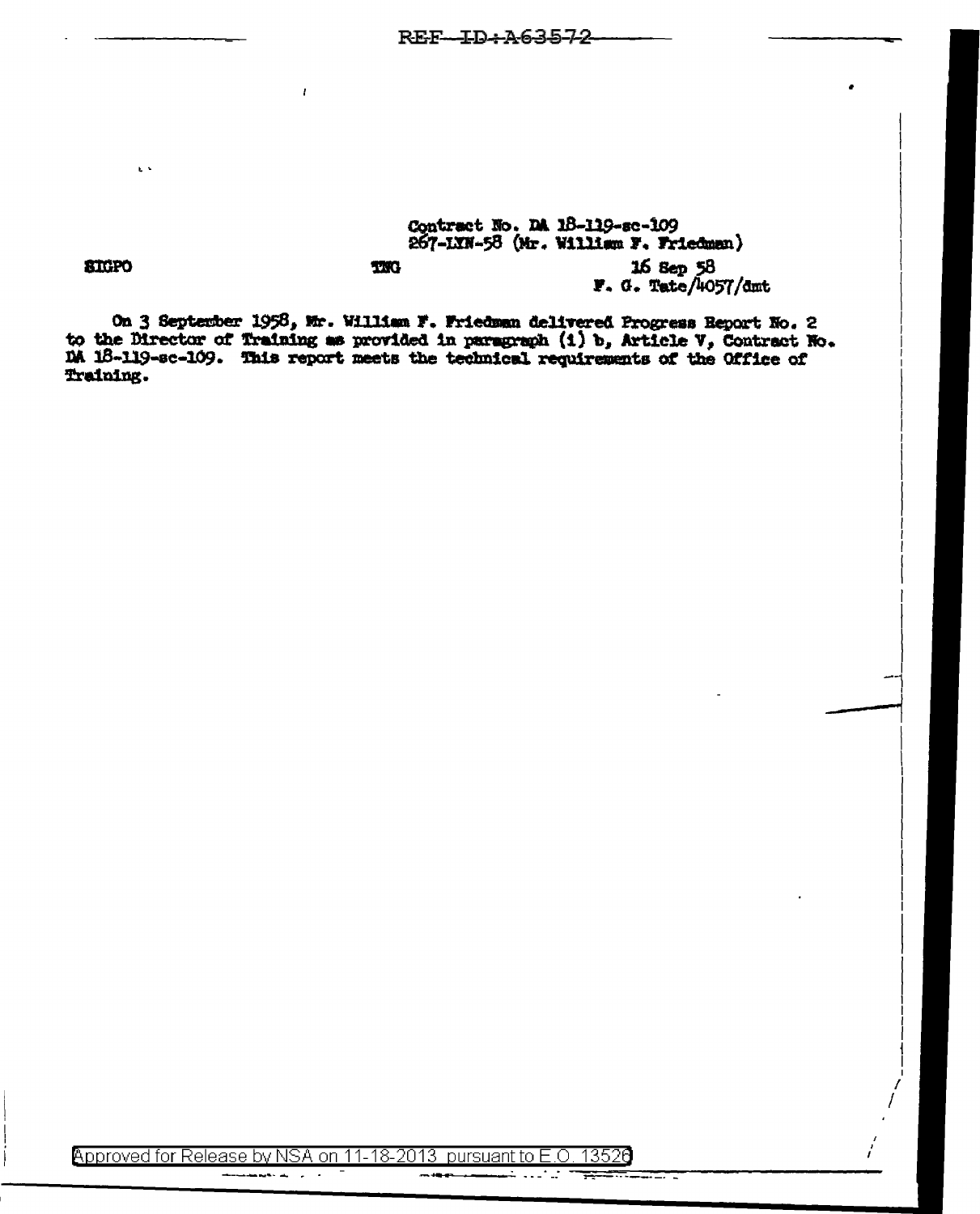## Contract No. DA 18-119-sc-109 267-LXN-58 (Mr. William F. Friedman)

16 Sep 58<br>F. G. Tate/4057/dmt

**SIGPO** 

 $\mathbf{r}$ 

On 3 September 1958, Mr. William F. Friedman delivered Progress Report No. 2 to the Director of Training as provided in paragraph (1) b, Article V, Contract No. DA 18-119-sc-109. This report meets the technical requirements of the Office of Training.

**TXG** 

z

Approved for Release by NSA on 11-18-2013 pursuant to E.O. 13526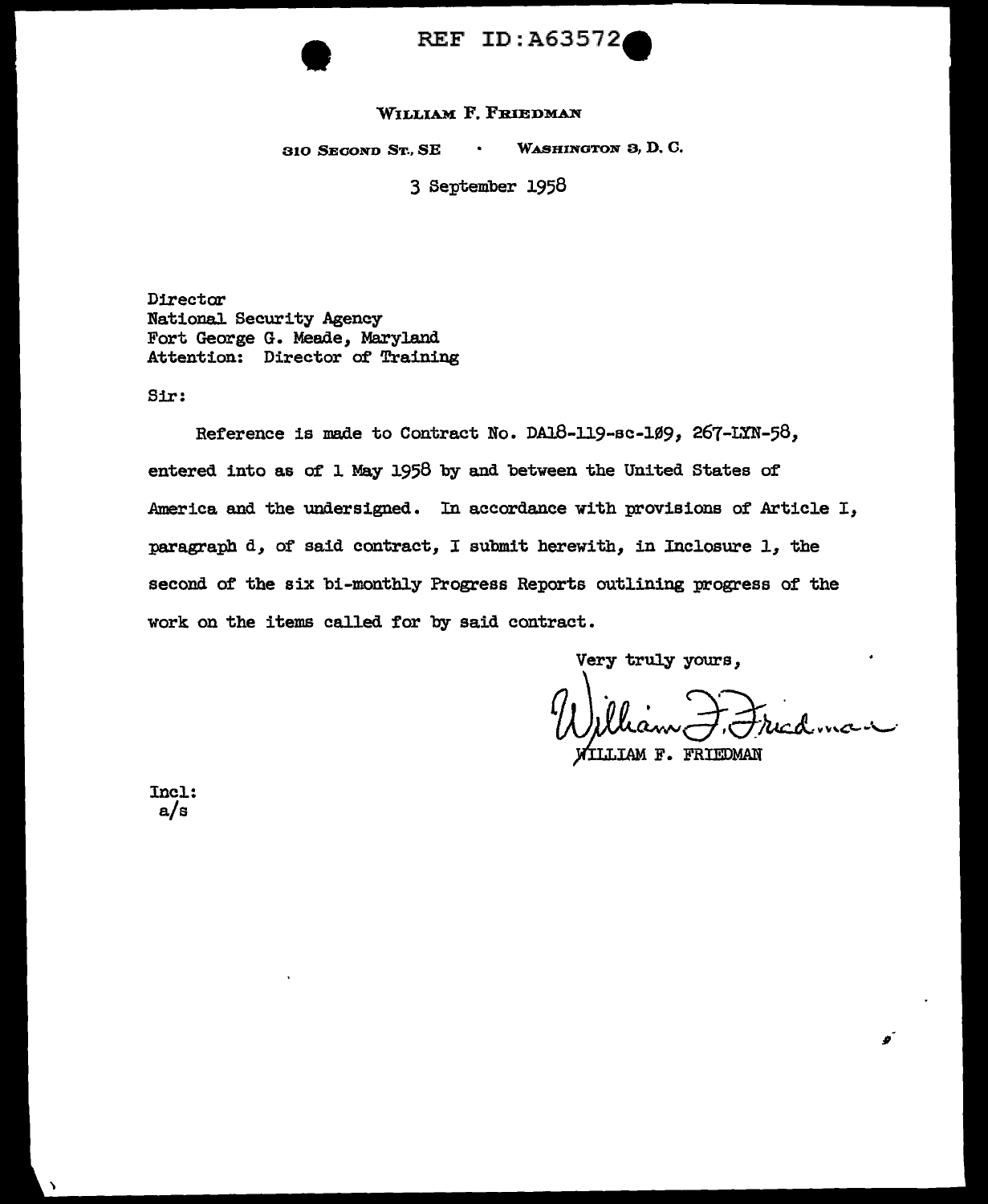

## REF ID:A63572

## WILLIAM F. FRIEDMAN

310 SECOND ST., SE WASHINGTON 3, D. *o.* 

3 September 1958

Director National. Security Agency Fort George G. Meade, Maryland Attention: Director of Training

Sir:

Reference is made to Contract No. DA18-119-sc-109, 267-LYN-58, entered into as of l May 1958 by and between the United States of America and the undersigned. In accordance with provisions of Article I, paragraph d, of said contract, I submit herewith, in Inc1osure 1, the second of the six bi-monthly Progress Reports outlining progress of the work on the items called for by said contract.

Very truly yours,

William F. Friedman ~IAM F. FRIEDMAN

..

Incl.: a/s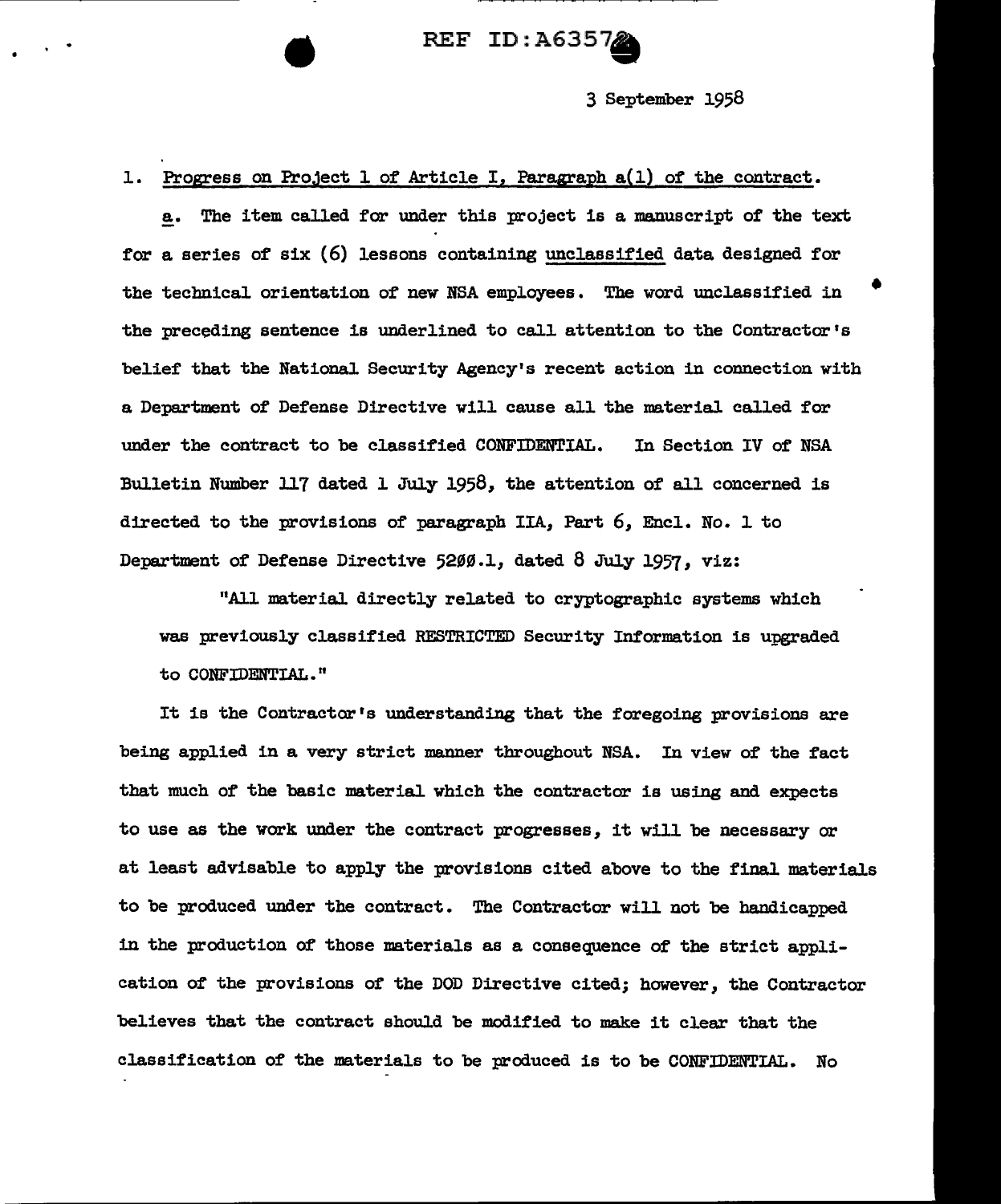## REF ID: A6357

3 September 1958

•

L Progress on Project l of Article I, Paragraph a(l) of the contract.

a. The item called for under this project is a manuscript of the text for a series of six  $(6)$  lessons containing unclassified data designed for the technical orientation of new NSA employees. The word unclassified in the preceding sentence is underlined to call attention to the Contractor's belief that the National. Security Agency's recent action in connection with a Department of Defense Directive will cause all the material called for under the contract to be classified CONFIDENTIAL. In Section IV of NSA Bulletin Number 117 dated 1 July 1958, the attention of all concerned is directed to the provisions of paragraph IIA, Part 6, Encl.. No. 1 to Department of Defense Directive 5200.1, dated 8 July 1957, viz:

"All material directly related to cryptographic systems which was previously classified RESTRICTED Security Information is upgraded to CONFIDENTIAL."

It is the Contractor's understanding that the foregoing provisions are being applied in a very strict manner throughout NSA. In view of the fact that much of the basic material which the contractor is using and expects to use as the work under the contract progresses, it will be necessary or at least advisable to apply the provisions cited above to the final materials to be produced under the contract. The Contractor will not be handicapped in the production of those materials as a consequence of the strict application of the provisions of the DOD Directive cited; however, the Contractor believes that the contract should be modified to make it clear that the classification of the materials to be produced is to be CONFIDENTIAL. No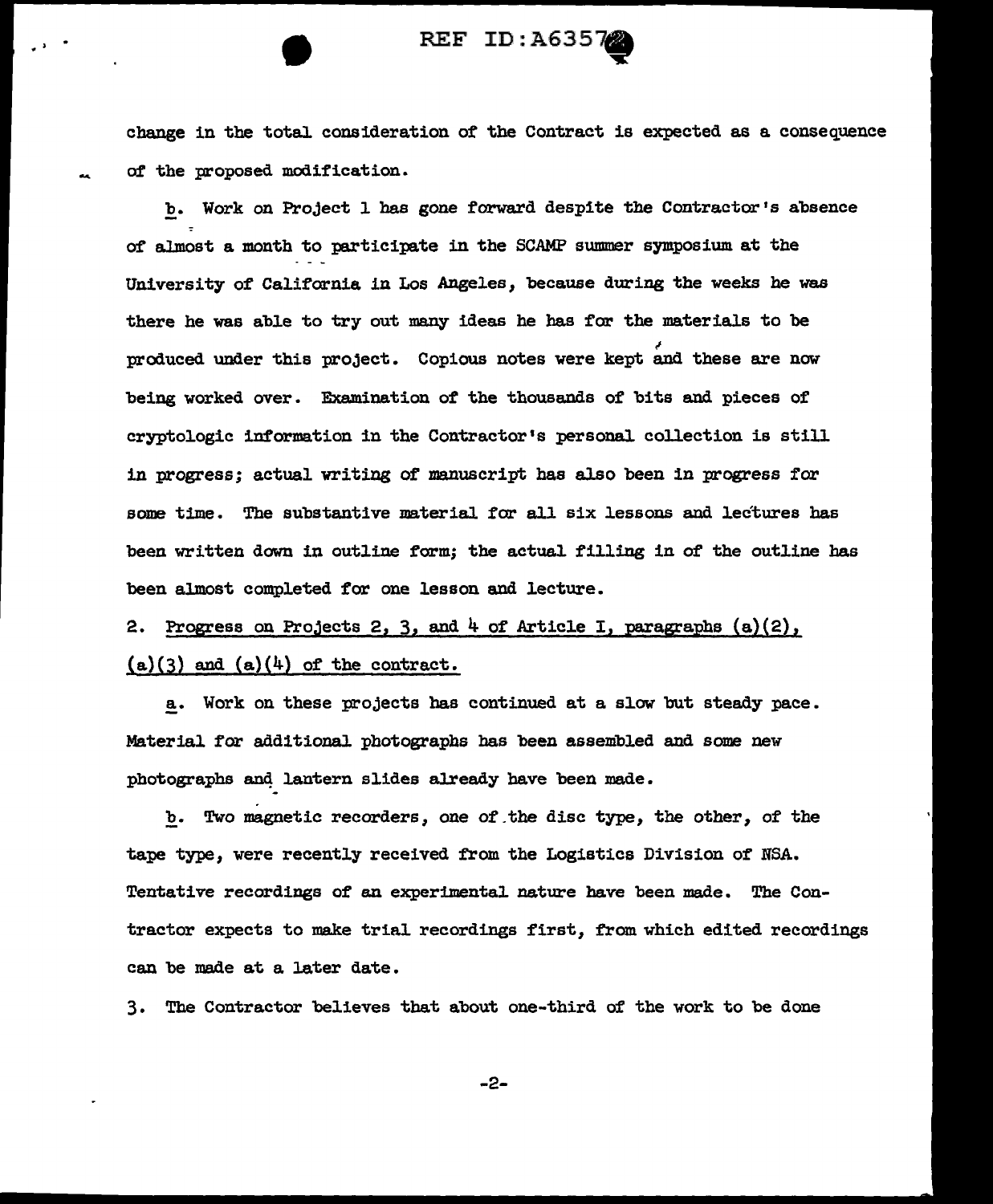change in the total. consideration of the Contract is expected as a consequence o£' the proposed modification.

REF ID: A6357

b. Work on Project l has gone forward despite the Contractor's absence o£ almost a month to participate in the SCAMP summer symposium at the University of' California in Los Angeles, because during the weeks he was there he was able to try out many ideas he has for the materials to be produced under this project. Copious notes were kept and these are now being worked over. Examination of the thousands of bits and pieces of cryptologic information in the Contractor's personal col.lection is still in progress; actual writing of manuscript has also been in progress for some time. The substantive material for all six lessons and lectures has been written down in outline form; the actual filling in of the outline has been almost completed for one lesson and lecture.

2. Progress on Projects 2, 3, and  $4$  of Article I, paragraphs  $(a)(2)$ ,  $(a)(3)$  and  $(a)(4)$  of the contract.

a. Work on these projects has continued at a slow but steady pace. Material for additional photographs has been assembled and some new photographs and lantern slides already have been made.

b. Two magnetic recorders, one of.the disc type, the other, of the tape type, were recently received from the Logistics Division of NSA. Tentative recordings of an experimental nature have been made. The Contractor expects to make trial recordings first, f'rom which edited recordings can be made at a later date.

3. The Contractor believes that about one-third of the work to be done

-2-